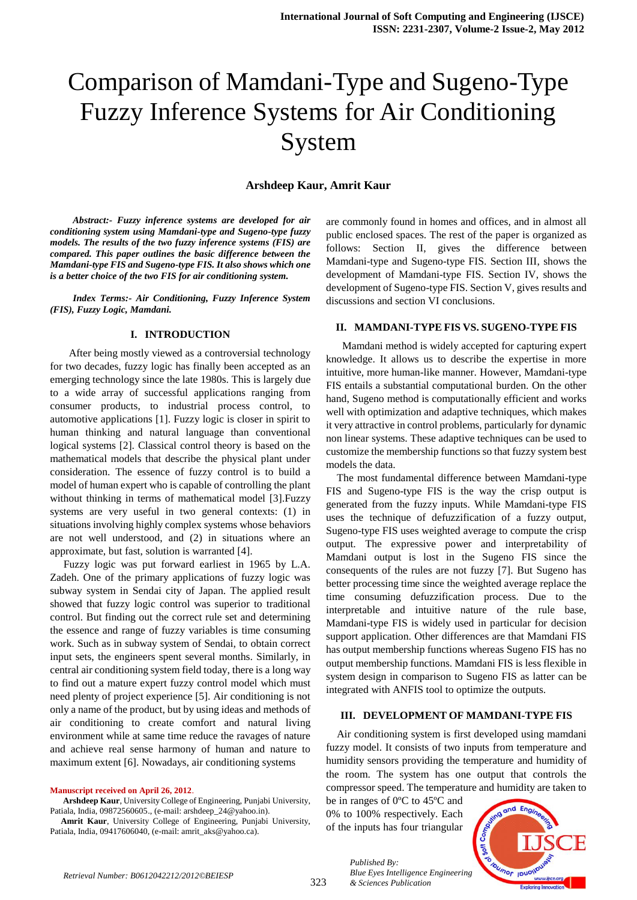# Comparison of Mamdani-Type and Sugeno-Type Fuzzy Inference Systems for Air Conditioning System

#### **Arshdeep Kaur, Amrit Kaur**

 *Abstract:- Fuzzy inference systems are developed for air conditioning system using Mamdani-type and Sugeno-type fuzzy models. The results of the two fuzzy inference systems (FIS) are compared. This paper outlines the basic difference between the Mamdani-type FIS and Sugeno-type FIS. It also shows which one is a better choice of the two FIS for air conditioning system.*

 *Index Terms:- Air Conditioning, Fuzzy Inference System (FIS), Fuzzy Logic, Mamdani.* 

#### **I. INTRODUCTION**

 After being mostly viewed as a controversial technology for two decades, fuzzy logic has finally been accepted as an emerging technology since the late 1980s. This is largely due to a wide array of successful applications ranging from consumer products, to industrial process control, to automotive applications [1]. Fuzzy logic is closer in spirit to human thinking and natural language than conventional logical systems [2]. Classical control theory is based on the mathematical models that describe the physical plant under consideration. The essence of fuzzy control is to build a model of human expert who is capable of controlling the plant without thinking in terms of mathematical model [3].Fuzzy systems are very useful in two general contexts: (1) in situations involving highly complex systems whose behaviors are not well understood, and (2) in situations where an approximate, but fast, solution is warranted [4].

Fuzzy logic was put forward earliest in 1965 by L.A. Zadeh. One of the primary applications of fuzzy logic was subway system in Sendai city of Japan. The applied result showed that fuzzy logic control was superior to traditional control. But finding out the correct rule set and determining the essence and range of fuzzy variables is time consuming work. Such as in subway system of Sendai, to obtain correct input sets, the engineers spent several months. Similarly, in central air conditioning system field today, there is a long way to find out a mature expert fuzzy control model which must need plenty of project experience [5]. Air conditioning is not only a name of the product, but by using ideas and methods of air conditioning to create comfort and natural living environment while at same time reduce the ravages of nature and achieve real sense harmony of human and nature to maximum extent [6]. Nowadays, air conditioning systems

**Manuscript received on April 26, 2012**.

**Arshdeep Kaur**, University College of Engineering, Punjabi University, Patiala, India, 09872560605., (e-mail: arshdeep\_24@yahoo.in).

**Amrit Kaur**, University College of Engineering, Punjabi University, Patiala, India, 09417606040, (e-mail: amrit\_aks@yahoo.ca).

are commonly found in homes and offices, and in almost all public enclosed spaces. The rest of the paper is organized as follows: Section II, gives the difference between Mamdani-type and Sugeno-type FIS. Section III, shows the development of Mamdani-type FIS. Section IV, shows the development of Sugeno-type FIS. Section V, gives results and discussions and section VI conclusions.

### **II. MAMDANI-TYPE FIS VS. SUGENO-TYPE FIS**

 Mamdani method is widely accepted for capturing expert knowledge. It allows us to describe the expertise in more intuitive, more human-like manner. However, Mamdani-type FIS entails a substantial computational burden. On the other hand, Sugeno method is computationally efficient and works well with optimization and adaptive techniques, which makes it very attractive in control problems, particularly for dynamic non linear systems. These adaptive techniques can be used to customize the membership functions so that fuzzy system best models the data.

The most fundamental difference between Mamdani-type FIS and Sugeno-type FIS is the way the crisp output is generated from the fuzzy inputs. While Mamdani-type FIS uses the technique of defuzzification of a fuzzy output, Sugeno-type FIS uses weighted average to compute the crisp output. The expressive power and interpretability of Mamdani output is lost in the Sugeno FIS since the consequents of the rules are not fuzzy [7]. But Sugeno has better processing time since the weighted average replace the time consuming defuzzification process. Due to the interpretable and intuitive nature of the rule base, Mamdani-type FIS is widely used in particular for decision support application. Other differences are that Mamdani FIS has output membership functions whereas Sugeno FIS has no output membership functions. Mamdani FIS is less flexible in system design in comparison to Sugeno FIS as latter can be integrated with ANFIS tool to optimize the outputs.

#### **III. DEVELOPMENT OF MAMDANI-TYPE FIS**

Air conditioning system is first developed using mamdani fuzzy model. It consists of two inputs from temperature and humidity sensors providing the temperature and humidity of the room. The system has one output that controls the compressor speed. The temperature and humidity are taken to

be in ranges of 0ºC to 45ºC and 0% to 100% respectively. Each of the inputs has four triangular

*& Sciences Publication* 

*Published By:*

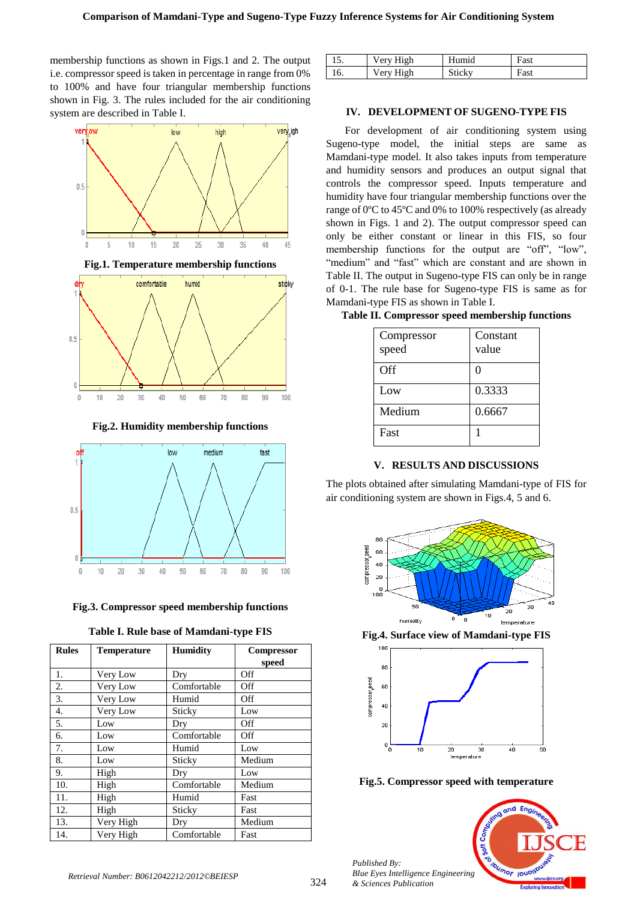membership functions as shown in Figs.1 and 2. The output i.e. compressor speed is taken in percentage in range from 0% to 100% and have four triangular membership functions shown in Fig. 3. The rules included for the air conditioning system are described in Table I.



**Fig.2. Humidity membership functions**



**Fig.3. Compressor speed membership functions**

| Table I. Rule base of Mamdani-type FIS |  |  |  |  |
|----------------------------------------|--|--|--|--|
|----------------------------------------|--|--|--|--|

| <b>Rules</b> | <b>Temperature</b> | <b>Humidity</b> | Compressor |
|--------------|--------------------|-----------------|------------|
|              |                    |                 | speed      |
| 1.           | Very Low           | Dry             | Off        |
| 2.           | Very Low           | Comfortable     | Off        |
| 3.           | Very Low           | Humid           | Off        |
| 4.           | Very Low           | Sticky          | Low        |
| 5.           | Low                | Dry             | Off        |
| 6.           | Low                | Comfortable     | Off        |
| 7.           | Low                | Humid           | Low        |
| 8.           | Low                | Sticky          | Medium     |
| 9.           | High               | Dry             | Low        |
| 10.          | High               | Comfortable     | Medium     |
| 11.          | High               | Humid           | Fast       |
| 12.          | High               | Sticky          | Fast       |
| 13.          | Very High          | Dry             | Medium     |
| 14.          | Very High          | Comfortable     | Fast       |

|     | Very High | Humid  | Fast |
|-----|-----------|--------|------|
| 16. | Very High | Sticky | Fast |

## **IV. DEVELOPMENT OF SUGENO-TYPE FIS**

 For development of air conditioning system using Sugeno-type model, the initial steps are same as Mamdani-type model. It also takes inputs from temperature and humidity sensors and produces an output signal that controls the compressor speed. Inputs temperature and humidity have four triangular membership functions over the range of 0ºC to 45ºC and 0% to 100% respectively (as already shown in Figs. 1 and 2). The output compressor speed can only be either constant or linear in this FIS, so four membership functions for the output are "off", "low", "medium" and "fast" which are constant and are shown in Table II. The output in Sugeno-type FIS can only be in range of 0-1. The rule base for Sugeno-type FIS is same as for Mamdani-type FIS as shown in Table I.

| Compressor<br>speed | Constant<br>value |
|---------------------|-------------------|
|                     |                   |
| Off                 | 0                 |
| Low                 | 0.3333            |
| Medium              | 0.6667            |
| Fast                |                   |

#### **Table II. Compressor speed membership functions**

# **V. RESULTS AND DISCUSSIONS**

The plots obtained after simulating Mamdani-type of FIS for air conditioning system are shown in Figs.4, 5 and 6.



**Fig.4. Surface view of Mamdani-type FIS**



**Fig.5. Compressor speed with temperature**